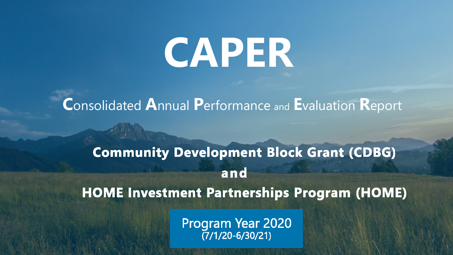# **CAPER**

**C**onsolidated **A**nnual **P**erformance and **E**valuation **R**eport

### **Community Development Block Grant (CDBG)** and **HOME Investment Partnerships Program (HOME)**

Program Year 2020<br>(7/1/20-6/30/21)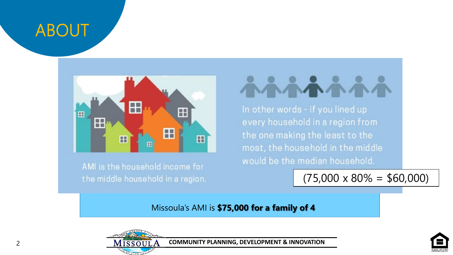### ABOUT



AMI is the household income for the middle household in a region.

 $\mathbf{E}$  of  $\mathbf{m}$  in other words - if you lined up  $\mathbf{H}$   $\mathbf{H}$   $\mathbf{H}$  and  $\mathbf{H}$  is the support affordable household in the middle housing for  $\mathbf{H}$ most, the household in the middle would be the median household.

> not exceed 80% of Area Median Income (AMI) and Area Median Income (AMI) and Ami) and Ami  $(75,000 \times 80\% = $60,000)$

Missoula's AMI is **\$75,000 for a family of 4**



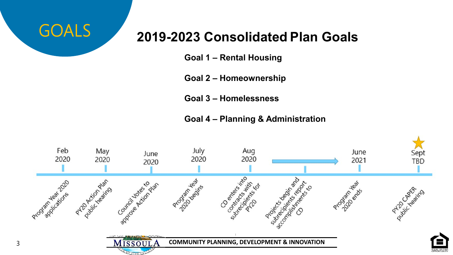

### **2019-2023 Consolidated Plan Goals**

**Goal 1 – Rental Housing**

**Goal 2 – Homeownership**

**Goal 3 – Homelessness**

**Goal 4 – Planning & Administration**

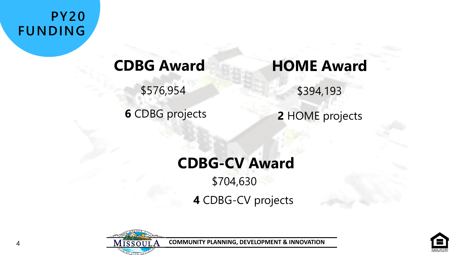**PY20 FUNDING**

4

**6** CDBG projects

### **CDBG Award HOME Award**

\$576,954 \$394,193

**2** HOME projects

### **CDBG-CV Award** \$704,630

**4** CDBG-CV projects



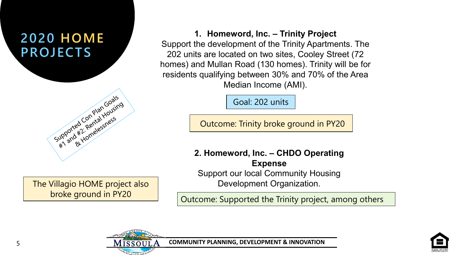### **2020 HOME PROJECTS**



The Villagio HOME project also broke ground in PY20

**1. Homeword, Inc. – Trinity Project** Support the development of the Trinity Apartments. The 202 units are located on two sites, Cooley Street (72 homes) and Mullan Road (130 homes). Trinity will be for residents qualifying between 30% and 70% of the Area Median Income (AMI).

Goal: 202 units

Outcome: Trinity broke ground in PY20

**2. Homeword, Inc. – CHDO Operating Expense** Support our local Community Housing Development Organization.

Outcome: Supported the Trinity project, among others

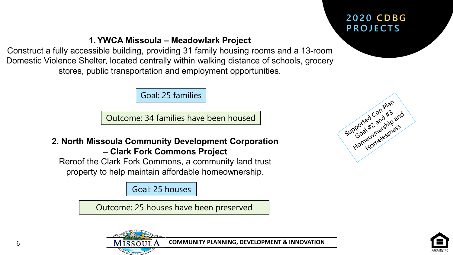### **2020 CDBG PROJECTS**

#### **1. YWCA Missoula – Meadowlark Project**

Construct a fully accessible building, providing 31 family housing rooms and a 13-room Domestic Violence Shelter, located centrally within walking distance of schools, grocery stores, public transportation and employment opportunities.

Goal: 25 families

Outcome: 34 families have been housed

#### **2. North Missoula Community Development Corporation – Clark Fork Commons Project**

Reroof the Clark Fork Commons, a community land trust property to help maintain affordable homeownership.

Goal: 25 houses

Outcome: 25 houses have been preserved





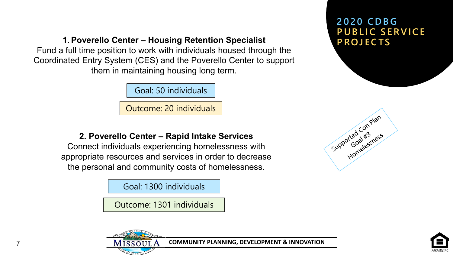**1. Poverello Center – Housing Retention Specialist** 

Fund a full time position to work with individuals housed through the Coordinated Entry System (CES) and the Poverello Center to support them in maintaining housing long term.

Goal: 50 individuals

Outcome: 20 individuals

**2. Poverello Center – Rapid Intake Services**

Connect individuals experiencing homelessness with appropriate resources and services in order to decrease the personal and community costs of homelessness.

Goal: 1300 individuals

Outcome: 1301 individuals





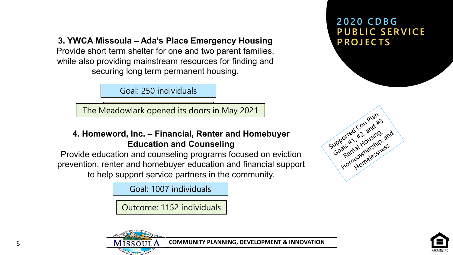**3. YWCA Missoula – Ada's Place Emergency Housing**

Provide short term shelter for one and two parent families, while also providing mainstream resources for finding and securing long term permanent housing.

Goal: 250 individuals

The Meadowlark opened its doors in May 2021

#### **4. Homeword, Inc. – Financial, Renter and Homebuyer Education and Counseling**

Provide education and counseling programs focused on eviction prevention, renter and homebuyer education and financial support to help support service partners in the community.

Goal: 1007 individuals

Outcome: 1152 individuals





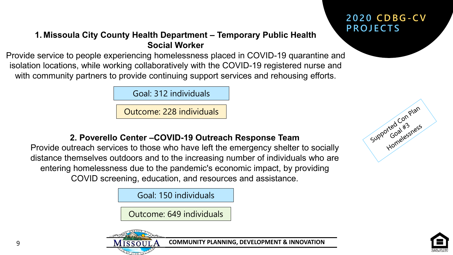#### **2020 CDBG-C V PROJECTS**

#### **1. Missoula City County Health Department – Temporary Public Health Social Worker**

Provide service to people experiencing homelessness placed in COVID-19 quarantine and isolation locations, while working collaboratively with the COVID-19 registered nurse and with community partners to provide continuing support services and rehousing efforts.

Goal: 312 individuals

Outcome: 228 individuals

#### **2. Poverello Center –COVID-19 Outreach Response Team**

Provide outreach services to those who have left the emergency shelter to socially distance themselves outdoors and to the increasing number of individuals who are entering homelessness due to the pandemic's economic impact, by providing COVID screening, education, and resources and assistance.

Goal: 150 individuals

Outcome: 649 individuals





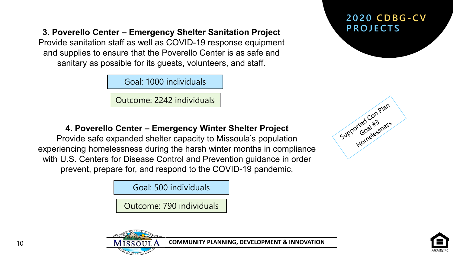**PROJECTS 3. Poverello Center – Emergency Shelter Sanitation Project**

Provide sanitation staff as well as COVID-19 response equipment and supplies to ensure that the Poverello Center is as safe and sanitary as possible for its guests, volunteers, and staff.

Goal: 1000 individuals

Outcome: 2242 individuals

#### **4. Poverello Center – Emergency Winter Shelter Project**

Provide safe expanded shelter capacity to Missoula's population experiencing homelessness during the harsh winter months in compliance with U.S. Centers for Disease Control and Prevention guidance in order prevent, prepare for, and respond to the COVID-19 pandemic.

Goal: 500 individuals

Outcome: 790 individuals

## **2020 CDBG-C V**





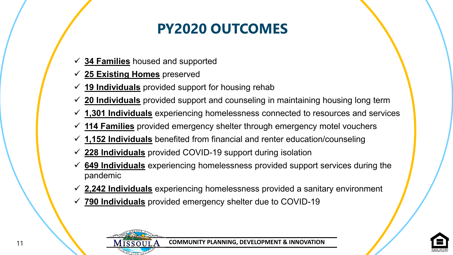### **PY2020 OUTCOMES**

- **34 Families** housed and supported
- **25 Existing Homes** preserved
- **19 Individuals** provided support for housing rehab
- **20 Individuals** provided support and counseling in maintaining housing long term
- **1,301 Individuals** experiencing homelessness connected to resources and services
- **114 Families** provided emergency shelter through emergency motel vouchers
- **1,152 Individuals** benefited from financial and renter education/counseling
- **228 Individuals** provided COVID-19 support during isolation
- **649 Individuals** experiencing homelessness provided support services during the pandemic
- **2,242 Individuals** experiencing homelessness provided a sanitary environment
- **790 Individuals** provided emergency shelter due to COVID-19



11

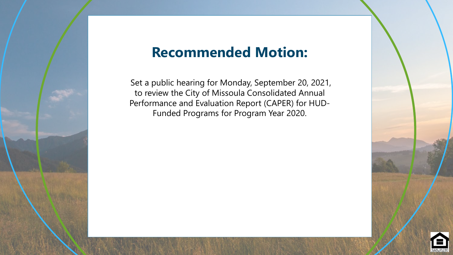### **Recommended Motion:**

Performance and Evaluation Report (CAPER) for HUD-Funded Programs for Program Year 2020. awarding HOME Investment Partnership Program (HOME) and Set a public hearing for Monday, September 20, 2021, to review the City of Missoula Consolidated Annual